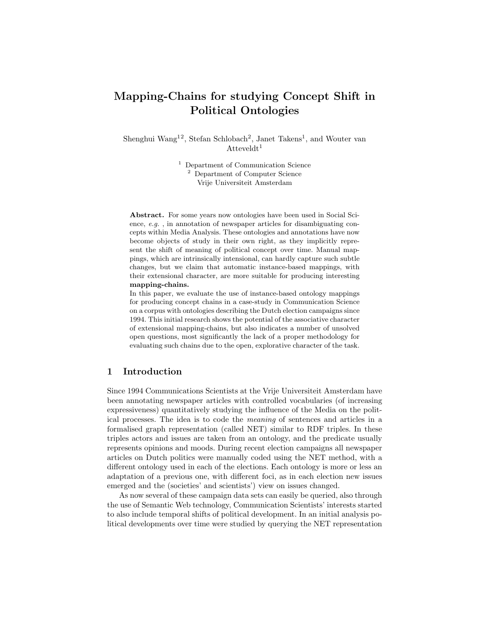# Mapping-Chains for studying Concept Shift in Political Ontologies

Shenghui Wang<sup>12</sup>, Stefan Schlobach<sup>2</sup>, Janet Takens<sup>1</sup>, and Wouter van  $\text{Atteveldt}^1$ 

> <sup>1</sup> Department of Communication Science <sup>2</sup> Department of Computer Science Vrije Universiteit Amsterdam

Abstract. For some years now ontologies have been used in Social Science, e.g. , in annotation of newspaper articles for disambiguating concepts within Media Analysis. These ontologies and annotations have now become objects of study in their own right, as they implicitly represent the shift of meaning of political concept over time. Manual mappings, which are intrinsically intensional, can hardly capture such subtle changes, but we claim that automatic instance-based mappings, with their extensional character, are more suitable for producing interesting mapping-chains.

In this paper, we evaluate the use of instance-based ontology mappings for producing concept chains in a case-study in Communication Science on a corpus with ontologies describing the Dutch election campaigns since 1994. This initial research shows the potential of the associative character of extensional mapping-chains, but also indicates a number of unsolved open questions, most significantly the lack of a proper methodology for evaluating such chains due to the open, explorative character of the task.

## 1 Introduction

Since 1994 Communications Scientists at the Vrije Universiteit Amsterdam have been annotating newspaper articles with controlled vocabularies (of increasing expressiveness) quantitatively studying the influence of the Media on the political processes. The idea is to code the meaning of sentences and articles in a formalised graph representation (called NET) similar to RDF triples. In these triples actors and issues are taken from an ontology, and the predicate usually represents opinions and moods. During recent election campaigns all newspaper articles on Dutch politics were manually coded using the NET method, with a different ontology used in each of the elections. Each ontology is more or less an adaptation of a previous one, with different foci, as in each election new issues emerged and the (societies' and scientists') view on issues changed.

As now several of these campaign data sets can easily be queried, also through the use of Semantic Web technology, Communication Scientists' interests started to also include temporal shifts of political development. In an initial analysis political developments over time were studied by querying the NET representation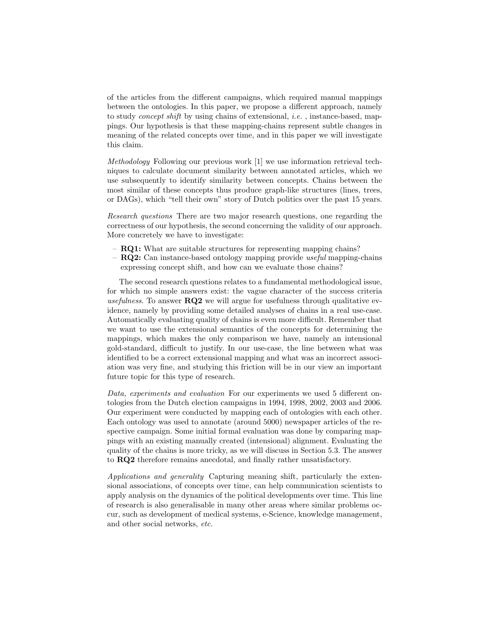of the articles from the different campaigns, which required manual mappings between the ontologies. In this paper, we propose a different approach, namely to study *concept shift* by using chains of extensional, *i.e.*, instance-based, mappings. Our hypothesis is that these mapping-chains represent subtle changes in meaning of the related concepts over time, and in this paper we will investigate this claim.

Methodology Following our previous work [1] we use information retrieval techniques to calculate document similarity between annotated articles, which we use subsequently to identify similarity between concepts. Chains between the most similar of these concepts thus produce graph-like structures (lines, trees, or DAGs), which "tell their own" story of Dutch politics over the past 15 years.

Research questions There are two major research questions, one regarding the correctness of our hypothesis, the second concerning the validity of our approach. More concretely we have to investigate:

- RQ1: What are suitable structures for representing mapping chains?
- $-$  RQ2: Can instance-based ontology mapping provide useful mapping-chains expressing concept shift, and how can we evaluate those chains?

The second research questions relates to a fundamental methodological issue, for which no simple answers exist: the vague character of the success criteria usefulness. To answer  $RQ2$  we will argue for usefulness through qualitative evidence, namely by providing some detailed analyses of chains in a real use-case. Automatically evaluating quality of chains is even more difficult. Remember that we want to use the extensional semantics of the concepts for determining the mappings, which makes the only comparison we have, namely an intensional gold-standard, difficult to justify. In our use-case, the line between what was identified to be a correct extensional mapping and what was an incorrect association was very fine, and studying this friction will be in our view an important future topic for this type of research.

Data, experiments and evaluation For our experiments we used 5 different ontologies from the Dutch election campaigns in 1994, 1998, 2002, 2003 and 2006. Our experiment were conducted by mapping each of ontologies with each other. Each ontology was used to annotate (around 5000) newspaper articles of the respective campaign. Some initial formal evaluation was done by comparing mappings with an existing manually created (intensional) alignment. Evaluating the quality of the chains is more tricky, as we will discuss in Section 5.3. The answer to RQ2 therefore remains anecdotal, and finally rather unsatisfactory.

Applications and generality Capturing meaning shift, particularly the extensional associations, of concepts over time, can help communication scientists to apply analysis on the dynamics of the political developments over time. This line of research is also generalisable in many other areas where similar problems occur, such as development of medical systems, e-Science, knowledge management, and other social networks, etc.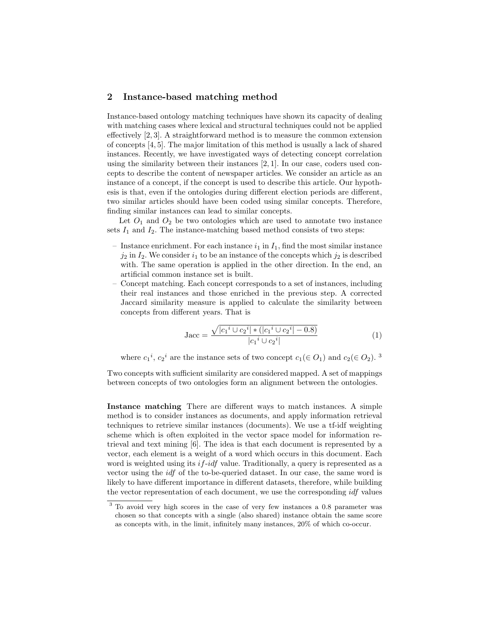## 2 Instance-based matching method

Instance-based ontology matching techniques have shown its capacity of dealing with matching cases where lexical and structural techniques could not be applied effectively [2, 3]. A straightforward method is to measure the common extension of concepts [4, 5]. The major limitation of this method is usually a lack of shared instances. Recently, we have investigated ways of detecting concept correlation using the similarity between their instances  $[2, 1]$ . In our case, coders used concepts to describe the content of newspaper articles. We consider an article as an instance of a concept, if the concept is used to describe this article. Our hypothesis is that, even if the ontologies during different election periods are different, two similar articles should have been coded using similar concepts. Therefore, finding similar instances can lead to similar concepts.

Let  $O_1$  and  $O_2$  be two ontologies which are used to annotate two instance sets  $I_1$  and  $I_2$ . The instance-matching based method consists of two steps:

- Instance enrichment. For each instance  $i_1$  in  $I_1$ , find the most similar instance  $j_2$  in  $I_2$ . We consider  $i_1$  to be an instance of the concepts which  $j_2$  is described with. The same operation is applied in the other direction. In the end, an artificial common instance set is built.
- Concept matching. Each concept corresponds to a set of instances, including their real instances and those enriched in the previous step. A corrected Jaccard similarity measure is applied to calculate the similarity between concepts from different years. That is

$$
Jac = \frac{\sqrt{|c_1^i \cup c_2^i| * (|c_1^i \cup c_2^i| - 0.8)}}{|c_1^i \cup c_2^i|} \tag{1}
$$

where  $c_1^i$ ,  $c_2^i$  are the instance sets of two concept  $c_1(\in O_1)$  and  $c_2(\in O_2)$ .<sup>3</sup>

Two concepts with sufficient similarity are considered mapped. A set of mappings between concepts of two ontologies form an alignment between the ontologies.

Instance matching There are different ways to match instances. A simple method is to consider instances as documents, and apply information retrieval techniques to retrieve similar instances (documents). We use a tf-idf weighting scheme which is often exploited in the vector space model for information retrieval and text mining [6]. The idea is that each document is represented by a vector, each element is a weight of a word which occurs in this document. Each word is weighted using its  $if-idf$  value. Traditionally, a query is represented as a vector using the idf of the to-be-queried dataset. In our case, the same word is likely to have different importance in different datasets, therefore, while building the vector representation of each document, we use the corresponding idf values

<sup>&</sup>lt;sup>3</sup> To avoid very high scores in the case of very few instances a 0.8 parameter was chosen so that concepts with a single (also shared) instance obtain the same score as concepts with, in the limit, infinitely many instances, 20% of which co-occur.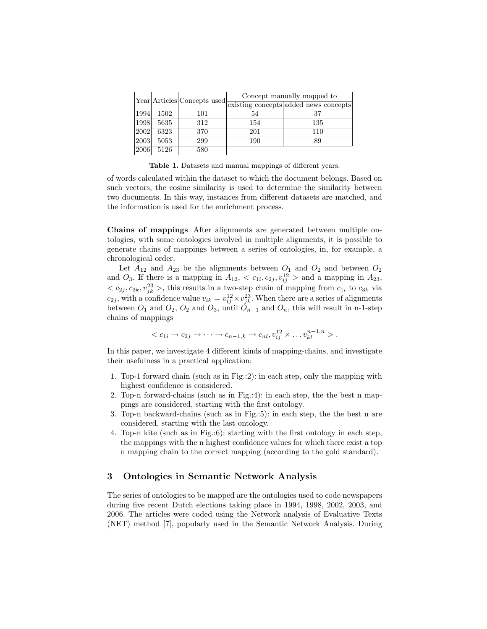|      |      | Year Articles Concepts used | Concept manually mapped to |                                       |  |  |
|------|------|-----------------------------|----------------------------|---------------------------------------|--|--|
|      |      |                             |                            | existing concepts added news concepts |  |  |
| 1994 | 1502 | 101                         | 54                         | 37                                    |  |  |
| 1998 | 5635 | 312                         | 154                        | 135                                   |  |  |
| 2002 | 6323 | 370                         | 201                        | 110                                   |  |  |
| 2003 | 5053 | 299                         | 190                        | 89                                    |  |  |
| 2006 | 5126 | 580                         |                            |                                       |  |  |

Table 1. Datasets and manual mappings of different years.

of words calculated within the dataset to which the document belongs. Based on such vectors, the cosine similarity is used to determine the similarity between two documents. In this way, instances from different datasets are matched, and the information is used for the enrichment process.

Chains of mappings After alignments are generated between multiple ontologies, with some ontologies involved in multiple alignments, it is possible to generate chains of mappings between a series of ontologies, in, for example, a chronological order.

Let  $A_{12}$  and  $A_{23}$  be the alignments between  $O_1$  and  $O_2$  and between  $O_2$ and  $O_3$ . If there is a mapping in  $A_{12}$ ,  $\langle c_{1i}, c_{2j}, v_{ij}^{12} \rangle$  and a mapping in  $A_{23}$ ,  $\langle c_{2j}, c_{3k}, v_{jk}^{23} \rangle$ , this results in a two-step chain of mapping from  $c_{1i}$  to  $c_{3k}$  via  $c_{2j}$ , with a confidence value  $v_{ik} = v_{ij}^{12} \times v_{jk}^{23}$ . When there are a series of alignments between  $O_1$  and  $O_2$ ,  $O_2$  and  $O_3$ , until  $O_{n-1}$  and  $O_n$ , this will result in n-1-step chains of mappings

$$
\langle c_{1i} \rightarrow c_{2j} \rightarrow \cdots \rightarrow c_{n-1,k} \rightarrow c_{nl}, v_{ij}^{12} \times \cdots v_{kl}^{n-1,n} \rangle.
$$

In this paper, we investigate 4 different kinds of mapping-chains, and investigate their usefulness in a practical application:

- 1. Top-1 forward chain (such as in Fig.:2): in each step, only the mapping with highest confidence is considered.
- 2. Top-n forward-chains (such as in Fig.:4): in each step, the the best n mappings are considered, starting with the first ontology.
- 3. Top-n backward-chains (such as in Fig.:5): in each step, the the best n are considered, starting with the last ontology.
- 4. Top-n kite (such as in Fig.:6): starting with the first ontology in each step, the mappings with the n highest confidence values for which there exist a top n mapping chain to the correct mapping (according to the gold standard).

## 3 Ontologies in Semantic Network Analysis

The series of ontologies to be mapped are the ontologies used to code newspapers during five recent Dutch elections taking place in 1994, 1998, 2002, 2003, and 2006. The articles were coded using the Network analysis of Evaluative Texts (NET) method [7], popularly used in the Semantic Network Analysis. During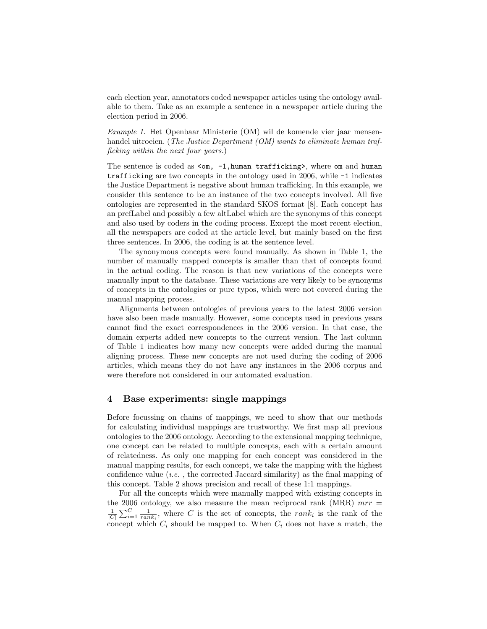each election year, annotators coded newspaper articles using the ontology available to them. Take as an example a sentence in a newspaper article during the election period in 2006.

Example 1. Het Openbaar Ministerie (OM) wil de komende vier jaar mensenhandel uitroeien. (The Justice Department (OM) wants to eliminate human trafficking within the next four years.)

The sentence is coded as  $\leq m$ ,  $-1$ , human trafficking>, where om and human trafficking are two concepts in the ontology used in 2006, while -1 indicates the Justice Department is negative about human trafficking. In this example, we consider this sentence to be an instance of the two concepts involved. All five ontologies are represented in the standard SKOS format [8]. Each concept has an prefLabel and possibly a few altLabel which are the synonyms of this concept and also used by coders in the coding process. Except the most recent election, all the newspapers are coded at the article level, but mainly based on the first three sentences. In 2006, the coding is at the sentence level.

The synonymous concepts were found manually. As shown in Table 1, the number of manually mapped concepts is smaller than that of concepts found in the actual coding. The reason is that new variations of the concepts were manually input to the database. These variations are very likely to be synonyms of concepts in the ontologies or pure typos, which were not covered during the manual mapping process.

Alignments between ontologies of previous years to the latest 2006 version have also been made manually. However, some concepts used in previous years cannot find the exact correspondences in the 2006 version. In that case, the domain experts added new concepts to the current version. The last column of Table 1 indicates how many new concepts were added during the manual aligning process. These new concepts are not used during the coding of 2006 articles, which means they do not have any instances in the 2006 corpus and were therefore not considered in our automated evaluation.

## 4 Base experiments: single mappings

Before focussing on chains of mappings, we need to show that our methods for calculating individual mappings are trustworthy. We first map all previous ontologies to the 2006 ontology. According to the extensional mapping technique, one concept can be related to multiple concepts, each with a certain amount of relatedness. As only one mapping for each concept was considered in the manual mapping results, for each concept, we take the mapping with the highest confidence value  $(i.e.$ , the corrected Jaccard similarity) as the final mapping of this concept. Table 2 shows precision and recall of these 1:1 mappings.

For all the concepts which were manually mapped with existing concepts in the 2006 ontology, we also measure the mean reciprocal rank (MRR)  $mrr =$  $\frac{1}{|C|} \sum_{i=1}^{C} \frac{1}{rank_i}$ , where C is the set of concepts, the rank<sub>i</sub> is the rank of the concept which  $C_i$  should be mapped to. When  $C_i$  does not have a match, the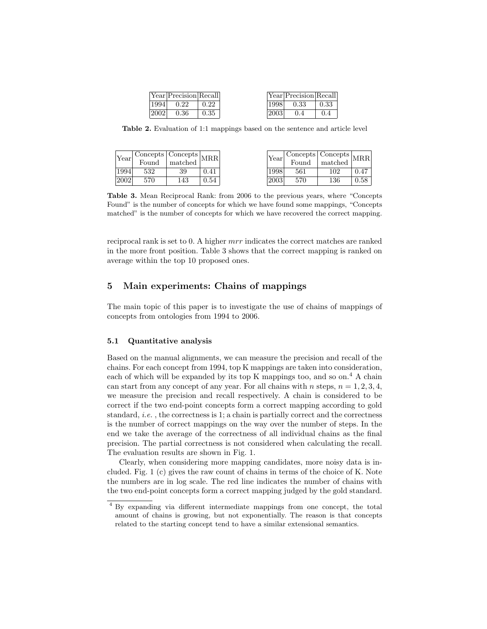|      | Year Precision Recall |      |      | Year Precision Recall |      |
|------|-----------------------|------|------|-----------------------|------|
| 1994 | 0.22                  | 0.22 | 1998 | 0.33                  | 0.33 |
| 2002 | 0.36                  | 0.35 | 2003 |                       | 0.4  |

Table 2. Evaluation of 1:1 mappings based on the sentence and article level

| Year | $\mid$ Concepts $\mid$ Concepts $\mid_{\rm MRR} \mid$<br>Found | matched |      | Year | $\mid$ Concepts $\mid$ Concepts $\mid_{\mbox{MRR}}\mid$<br>Found | matched  |      |
|------|----------------------------------------------------------------|---------|------|------|------------------------------------------------------------------|----------|------|
| 1994 | 532                                                            | 39      | .41  | 1998 | 561                                                              | 102      | 0.47 |
| 2002 | 570                                                            | 143     | ).54 | 2003 | 570                                                              | $^{136}$ | 0.58 |

Table 3. Mean Reciprocal Rank: from 2006 to the previous years, where "Concepts Found" is the number of concepts for which we have found some mappings, "Concepts matched" is the number of concepts for which we have recovered the correct mapping.

reciprocal rank is set to 0. A higher mrr indicates the correct matches are ranked in the more front position. Table 3 shows that the correct mapping is ranked on average within the top 10 proposed ones.

## 5 Main experiments: Chains of mappings

The main topic of this paper is to investigate the use of chains of mappings of concepts from ontologies from 1994 to 2006.

#### 5.1 Quantitative analysis

Based on the manual alignments, we can measure the precision and recall of the chains. For each concept from 1994, top K mappings are taken into consideration, each of which will be expanded by its top K mappings too, and so on.<sup>4</sup> A chain can start from any concept of any year. For all chains with n steps,  $n = 1, 2, 3, 4$ , we measure the precision and recall respectively. A chain is considered to be correct if the two end-point concepts form a correct mapping according to gold standard, *i.e.*, the correctness is 1; a chain is partially correct and the correctness is the number of correct mappings on the way over the number of steps. In the end we take the average of the correctness of all individual chains as the final precision. The partial correctness is not considered when calculating the recall. The evaluation results are shown in Fig. 1.

Clearly, when considering more mapping candidates, more noisy data is included. Fig. 1 (c) gives the raw count of chains in terms of the choice of K. Note the numbers are in log scale. The red line indicates the number of chains with the two end-point concepts form a correct mapping judged by the gold standard.

<sup>4</sup> By expanding via different intermediate mappings from one concept, the total amount of chains is growing, but not exponentially. The reason is that concepts related to the starting concept tend to have a similar extensional semantics.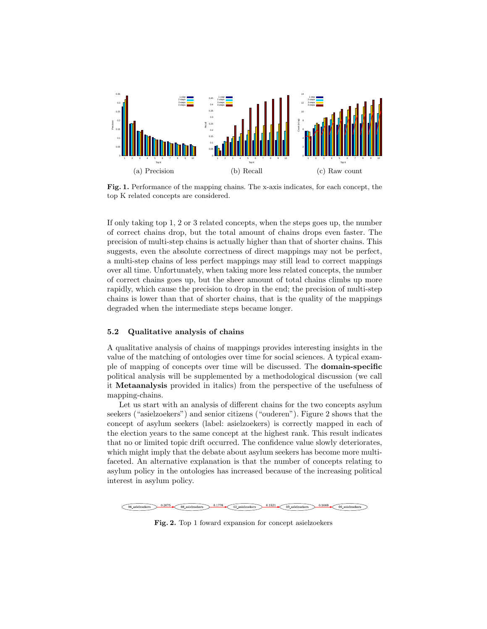

Fig. 1. Performance of the mapping chains. The x-axis indicates, for each concept, the top K related concepts are considered.

If only taking top 1, 2 or 3 related concepts, when the steps goes up, the number of correct chains drop, but the total amount of chains drops even faster. The precision of multi-step chains is actually higher than that of shorter chains. This suggests, even the absolute correctness of direct mappings may not be perfect, a multi-step chains of less perfect mappings may still lead to correct mappings over all time. Unfortunately, when taking more less related concepts, the number of correct chains goes up, but the sheer amount of total chains climbs up more rapidly, which cause the precision to drop in the end; the precision of multi-step chains is lower than that of shorter chains, that is the quality of the mappings degraded when the intermediate steps became longer.

#### 5.2 Qualitative analysis of chains

A qualitative analysis of chains of mappings provides interesting insights in the value of the matching of ontologies over time for social sciences. A typical example of mapping of concepts over time will be discussed. The domain-specific political analysis will be supplemented by a methodological discussion (we call it Metaanalysis provided in italics) from the perspective of the usefulness of mapping-chains.

Let us start with an analysis of different chains for the two concepts asylum seekers ("asielzoekers") and senior citizens ("ouderen"). Figure 2 shows that the concept of asylum seekers (label: asielzoekers) is correctly mapped in each of the election years to the same concept at the highest rank. This result indicates that no or limited topic drift occurred. The confidence value slowly deteriorates, which might imply that the debate about asylum seekers has become more multifaceted. An alternative explanation is that the number of concepts relating to asylum policy in the ontologies has increased because of the increasing political interest in asylum policy.



Fig. 2. Top 1 foward expansion for concept asielzoekers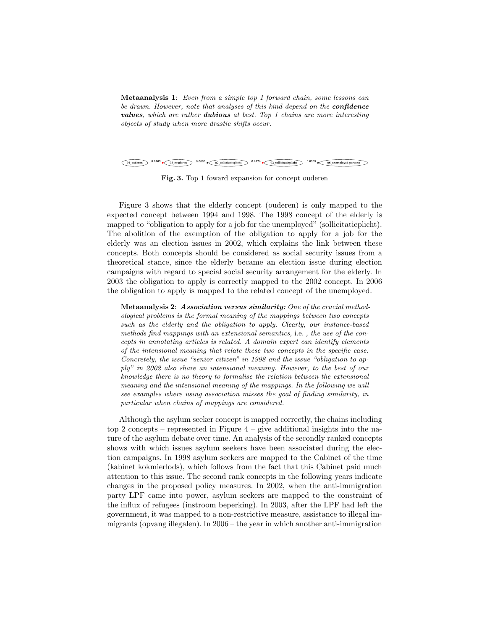Metaanalysis 1: Even from a simple top 1 forward chain, some lessons can be drawn. However, note that analyses of this kind depend on the **confidence** values, which are rather dubious at best. Top 1 chains are more interesting objects of study when more drastic shifts occur.



Fig. 3. Top 1 foward expansion for concept ouderen

Figure 3 shows that the elderly concept (ouderen) is only mapped to the expected concept between 1994 and 1998. The 1998 concept of the elderly is mapped to "obligation to apply for a job for the unemployed" (sollicitatieplicht). The abolition of the exemption of the obligation to apply for a job for the elderly was an election issues in 2002, which explains the link between these concepts. Both concepts should be considered as social security issues from a theoretical stance, since the elderly became an election issue during election campaigns with regard to special social security arrangement for the elderly. In 2003 the obligation to apply is correctly mapped to the 2002 concept. In 2006 the obligation to apply is mapped to the related concept of the unemployed.

Metaanalysis 2: Association versus similarity: One of the crucial methodological problems is the formal meaning of the mappings between two concepts such as the elderly and the obligation to apply. Clearly, our instance-based methods find mappings with an extensional semantics, i.e. , the use of the concepts in annotating articles is related. A domain expert can identify elements of the intensional meaning that relate these two concepts in the specific case. Concretely, the issue "senior citizen" in 1998 and the issue "obligation to apply" in 2002 also share an intensional meaning. However, to the best of our knowledge there is no theory to formalise the relation between the extensional meaning and the intensional meaning of the mappings. In the following we will see examples where using association misses the goal of finding similarity, in particular when chains of mappings are considered.

Although the asylum seeker concept is mapped correctly, the chains including top 2 concepts – represented in Figure  $4$  – give additional insights into the nature of the asylum debate over time. An analysis of the secondly ranked concepts shows with which issues asylum seekers have been associated during the election campaigns. In 1998 asylum seekers are mapped to the Cabinet of the time (kabinet kokmierlods), which follows from the fact that this Cabinet paid much attention to this issue. The second rank concepts in the following years indicate changes in the proposed policy measures. In 2002, when the anti-immigration party LPF came into power, asylum seekers are mapped to the constraint of the influx of refugees (instroom beperking). In 2003, after the LPF had left the government, it was mapped to a non-restrictive measure, assistance to illegal immigrants (opvang illegalen). In 2006 – the year in which another anti-immigration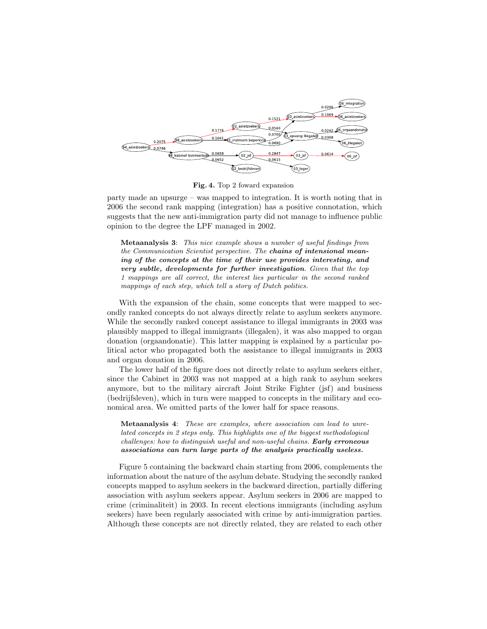

Fig. 4. Top 2 foward expansion

party made an upsurge – was mapped to integration. It is worth noting that in 2006 the second rank mapping (integration) has a positive connotation, which suggests that the new anti-immigration party did not manage to influence public opinion to the degree the LPF managed in 2002.

Metaanalysis 3: This nice example shows a number of useful findings from the Communication Scientist perspective. The chains of intensional meaning of the concepts at the time of their use provides interesting, and very subtle, developments for further investigation. Given that the top 1 mappings are all correct, the interest lies particular in the second ranked mappings of each step, which tell a story of Dutch politics.

With the expansion of the chain, some concepts that were mapped to secondly ranked concepts do not always directly relate to asylum seekers anymore. While the secondly ranked concept assistance to illegal immigrants in 2003 was plausibly mapped to illegal immigrants (illegalen), it was also mapped to organ donation (orgaandonatie). This latter mapping is explained by a particular political actor who propagated both the assistance to illegal immigrants in 2003 and organ donation in 2006.

The lower half of the figure does not directly relate to asylum seekers either, since the Cabinet in 2003 was not mapped at a high rank to asylum seekers anymore, but to the military aircraft Joint Strike Fighter (jsf) and business (bedrijfsleven), which in turn were mapped to concepts in the military and economical area. We omitted parts of the lower half for space reasons.

Metaanalysis 4: These are examples, where association can lead to unrelated concepts in 2 steps only. This highlights one of the biggest methodological challenges: how to distinguish useful and non-useful chains. Early erroneous associations can turn large parts of the analysis practically useless.

Figure 5 containing the backward chain starting from 2006, complements the information about the nature of the asylum debate. Studying the secondly ranked concepts mapped to asylum seekers in the backward direction, partially differing association with asylum seekers appear. Asylum seekers in 2006 are mapped to crime (criminaliteit) in 2003. In recent elections immigrants (including asylum seekers) have been regularly associated with crime by anti-immigration parties. Although these concepts are not directly related, they are related to each other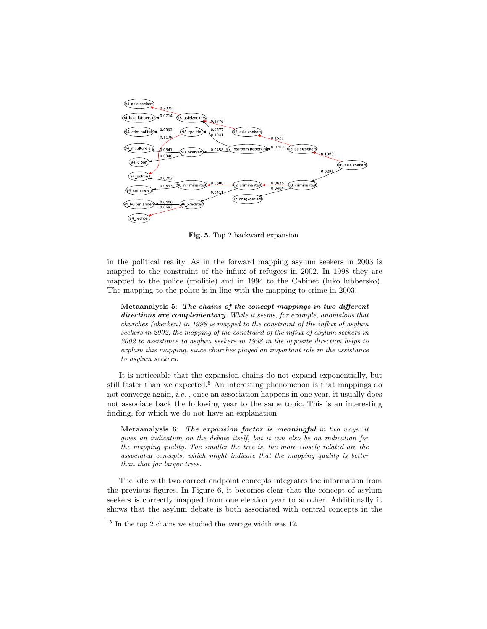

Fig. 5. Top 2 backward expansion

in the political reality. As in the forward mapping asylum seekers in 2003 is mapped to the constraint of the influx of refugees in 2002. In 1998 they are mapped to the police (rpolitie) and in 1994 to the Cabinet (luko lubbersko). The mapping to the police is in line with the mapping to crime in 2003.

Metaanalysis 5: The chains of the concept mappings in two different directions are complementary. While it seems, for example, anomalous that churches (okerken) in 1998 is mapped to the constraint of the influx of asylum seekers in 2002, the mapping of the constraint of the influx of asylum seekers in 2002 to assistance to asylum seekers in 1998 in the opposite direction helps to explain this mapping, since churches played an important role in the assistance to asylum seekers.

It is noticeable that the expansion chains do not expand exponentially, but still faster than we expected.<sup>5</sup> An interesting phenomenon is that mappings do not converge again, *i.e.*, once an association happens in one year, it usually does not associate back the following year to the same topic. This is an interesting finding, for which we do not have an explanation.

Metaanalysis 6: The expansion factor is meaningful in two ways: it gives an indication on the debate itself, but it can also be an indication for the mapping quality. The smaller the tree is, the more closely related are the associated concepts, which might indicate that the mapping quality is better than that for larger trees.

The kite with two correct endpoint concepts integrates the information from the previous figures. In Figure 6, it becomes clear that the concept of asylum seekers is correctly mapped from one election year to another. Additionally it shows that the asylum debate is both associated with central concepts in the

<sup>5</sup> In the top 2 chains we studied the average width was 12.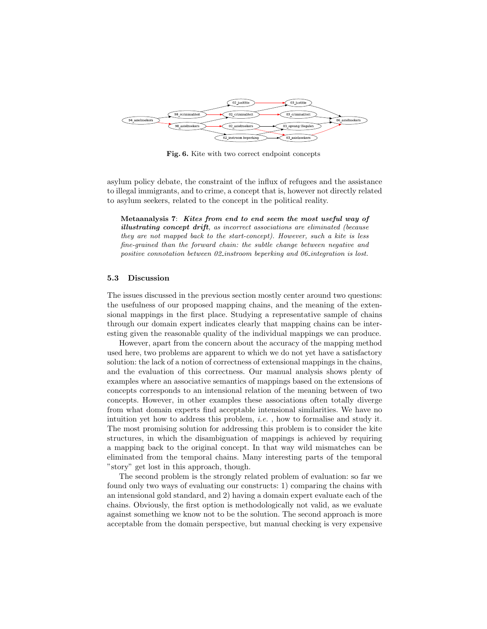

Fig. 6. Kite with two correct endpoint concepts

asylum policy debate, the constraint of the influx of refugees and the assistance to illegal immigrants, and to crime, a concept that is, however not directly related to asylum seekers, related to the concept in the political reality.

Metaanalysis 7: Kites from end to end seem the most useful way of illustrating concept drift, as incorrect associations are eliminated (because they are not mapped back to the start-concept). However, such a kite is less fine-grained than the forward chain: the subtle change between negative and positive connotation between 02 instroom beperking and 06 integration is lost.

#### 5.3 Discussion

The issues discussed in the previous section mostly center around two questions: the usefulness of our proposed mapping chains, and the meaning of the extensional mappings in the first place. Studying a representative sample of chains through our domain expert indicates clearly that mapping chains can be interesting given the reasonable quality of the individual mappings we can produce.

However, apart from the concern about the accuracy of the mapping method used here, two problems are apparent to which we do not yet have a satisfactory solution: the lack of a notion of correctness of extensional mappings in the chains, and the evaluation of this correctness. Our manual analysis shows plenty of examples where an associative semantics of mappings based on the extensions of concepts corresponds to an intensional relation of the meaning between of two concepts. However, in other examples these associations often totally diverge from what domain experts find acceptable intensional similarities. We have no intuition yet how to address this problem, i.e. , how to formalise and study it. The most promising solution for addressing this problem is to consider the kite structures, in which the disambiguation of mappings is achieved by requiring a mapping back to the original concept. In that way wild mismatches can be eliminated from the temporal chains. Many interesting parts of the temporal "story" get lost in this approach, though.

The second problem is the strongly related problem of evaluation: so far we found only two ways of evaluating our constructs: 1) comparing the chains with an intensional gold standard, and 2) having a domain expert evaluate each of the chains. Obviously, the first option is methodologically not valid, as we evaluate against something we know not to be the solution. The second approach is more acceptable from the domain perspective, but manual checking is very expensive